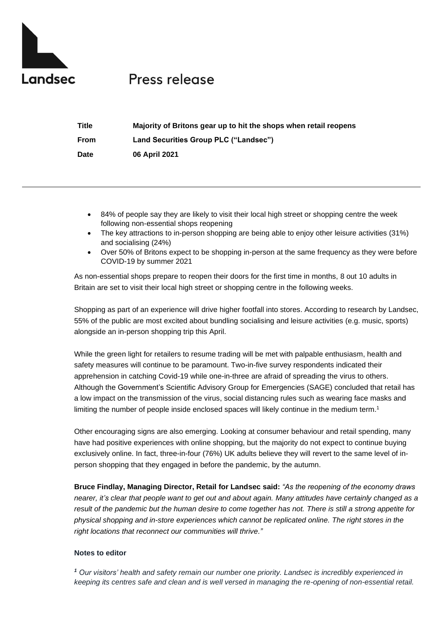

## Press release

| <b>Title</b> | Majority of Britons gear up to hit the shops when retail reopens |
|--------------|------------------------------------------------------------------|
| <b>From</b>  | Land Securities Group PLC ("Landsec")                            |
| <b>Date</b>  | 06 April 2021                                                    |

- 84% of people say they are likely to visit their local high street or shopping centre the week following non-essential shops reopening
- The key attractions to in-person shopping are being able to enjoy other leisure activities (31%) and socialising (24%)
- Over 50% of Britons expect to be shopping in-person at the same frequency as they were before COVID-19 by summer 2021

As non-essential shops prepare to reopen their doors for the first time in months, 8 out 10 adults in Britain are set to visit their local high street or shopping centre in the following weeks.

Shopping as part of an experience will drive higher footfall into stores. According to research by Landsec, 55% of the public are most excited about bundling socialising and leisure activities (e.g. music, sports) alongside an in-person shopping trip this April.

While the green light for retailers to resume trading will be met with palpable enthusiasm, health and safety measures will continue to be paramount. Two-in-five survey respondents indicated their apprehension in catching Covid-19 while one-in-three are afraid of spreading the virus to others. Although the Government's Scientific Advisory Group for Emergencies (SAGE) concluded that retail has a low impact on the transmission of the virus, social distancing rules such as wearing face masks and limiting the number of people inside enclosed spaces will likely continue in the medium term. 1

Other encouraging signs are also emerging. Looking at consumer behaviour and retail spending, many have had positive experiences with online shopping, but the majority do not expect to continue buying exclusively online. In fact, three-in-four (76%) UK adults believe they will revert to the same level of inperson shopping that they engaged in before the pandemic, by the autumn.

**Bruce Findlay, Managing Director, Retail for Landsec said:** *"As the reopening of the economy draws nearer, it's clear that people want to get out and about again. Many attitudes have certainly changed as a result of the pandemic but the human desire to come together has not. There is still a strong appetite for physical shopping and in-store experiences which cannot be replicated online. The right stores in the right locations that reconnect our communities will thrive."*

## **Notes to editor**

*<sup>1</sup> Our visitors' health and safety remain our number one priority. Landsec is incredibly experienced in keeping its centres safe and clean and is well versed in managing the re-opening of non-essential retail.*